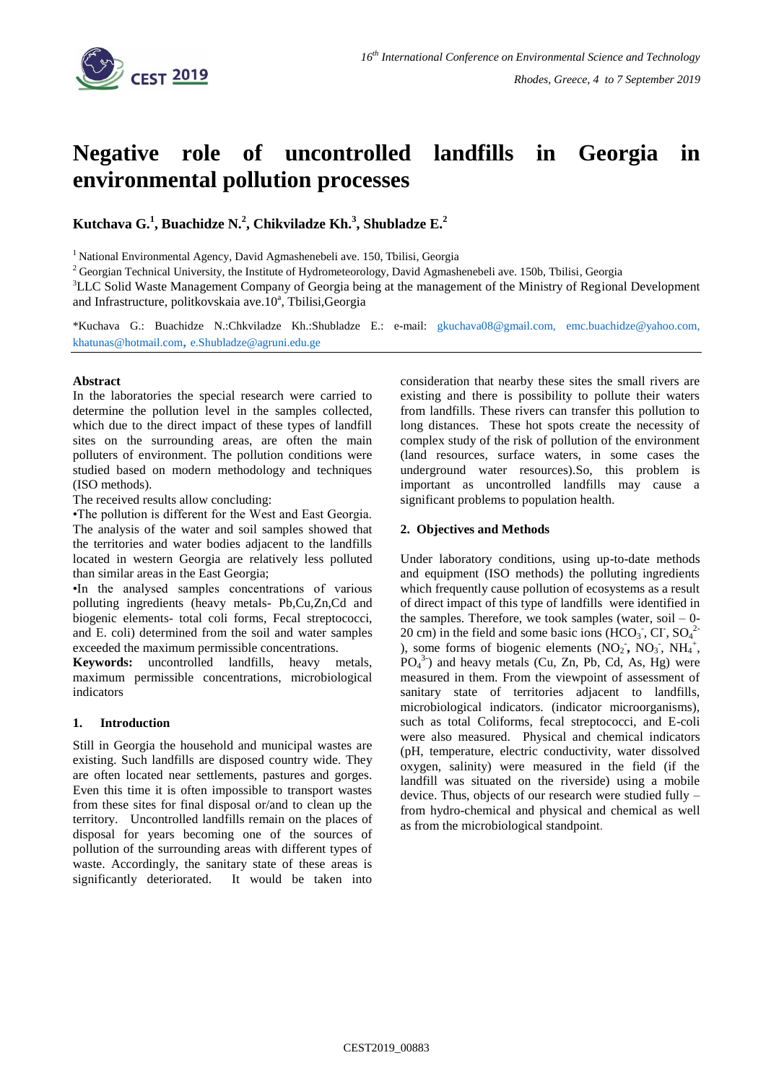

# **Negative role of uncontrolled landfills in Georgia in environmental pollution processes**

**Kutchava G.<sup>1</sup> , Buachidze N.<sup>2</sup> , Chikviladze Kh.<sup>3</sup> , Shubladze E.<sup>2</sup>**

<sup>1</sup> National Environmental Agency, David Agmashenebeli ave. 150, Tbilisi, Georgia

<sup>2</sup> Georgian Technical University, the Institute of Hydrometeorology, David Agmashenebeli ave. 150b, Tbilisi, Georgia

<sup>3</sup>LLC Solid Waste Management Company of Georgia being at the management of the Ministry of Regional Development and Infrastructure, politkovskaia ave.10<sup>ª</sup>, Tbilisi, Georgia

\*Kuchava G.: Buachidze N.:Chkviladze Kh.:Shubladze E.: e-mail: [gkuchava08@gmail.com,](mailto:gkuchava08@gmail.com) [emc.buachidze@yahoo.com,](mailto:emc.buachidze@yahoo.com) [khatunas@hotmail.com](mailto:khatunas@hotmail.com), [e.Shubladze@agruni.edu.ge](mailto:Shubladze@agruni.edu.ge)

## **Abstract**

In the laboratories the special research were carried to determine the pollution level in the samples collected, which due to the direct impact of these types of landfill sites on the surrounding areas, are often the main polluters of environment. The pollution conditions were studied based on modern methodology and techniques (ISO methods).

The received results allow concluding:

•The pollution is different for the West and East Georgia. The analysis of the water and soil samples showed that the territories and water bodies adjacent to the landfills located in western Georgia are relatively less polluted than similar areas in the East Georgia;

•In the analysed samples concentrations of various polluting ingredients (heavy metals- Pb,Cu,Zn,Cd and biogenic elements- total coli forms, Fecal streptococci, and Е. coli) determined from the soil and water samples exceeded the maximum permissible concentrations.

**Keywords:** uncontrolled landfills, heavy metals, maximum permissible concentrations, microbiological indicators

## **1. Introduction**

Still in Georgia the household and municipal wastes are existing. Such landfills are disposed country wide. They are often located near settlements, pastures and gorges. Even this time it is often impossible to transport wastes from these sites for final disposal or/and to clean up the territory. Uncontrolled landfills remain on the places of disposal for years becoming one of the sources of pollution of the surrounding areas with different types of waste. Accordingly, the sanitary state of these areas is significantly deteriorated. It would be taken into

consideration that nearby these sites the small rivers are existing and there is possibility to pollute their waters from landfills. These rivers can transfer this pollution to long distances. These hot spots create the necessity of complex study of the risk of pollution of the environment (land resources, surface waters, in some cases the underground water resources).So, this problem is important as uncontrolled landfills may cause a significant problems to population health.

## **2. Objectives and Methods**

Under laboratory conditions, using up-to-date methods and equipment (ISO methods) the polluting ingredients which frequently cause pollution of ecosystems as a result of direct impact of this type of landfills were identified in the samples. Therefore, we took samples (water, soil  $-0$ -20 cm) in the field and some basic ions  $(HCO<sub>3</sub>$ , CI,  $SO<sub>4</sub><sup>2</sup>$ ), some forms of biogenic elements  $(NO_2, NO_3, NH_4^+,$  $PO<sub>4</sub><sup>3</sup>$ ) and heavy metals (Cu, Zn, Pb, Cd, As, Hg) were measured in them. From the viewpoint of assessment of sanitary state of territories adjacent to landfills, microbiological indicators. (indicator microorganisms), such as total Coliforms, fecal streptococci, and E-coli were also measured. Physical and chemical indicators (pH, temperature, electric conductivity, water dissolved oxygen, salinity) were measured in the field (if the landfill was situated on the riverside) using a mobile device. Thus, objects of our research were studied fully – from hydro-chemical and physical and chemical as well as from the microbiological standpoint.